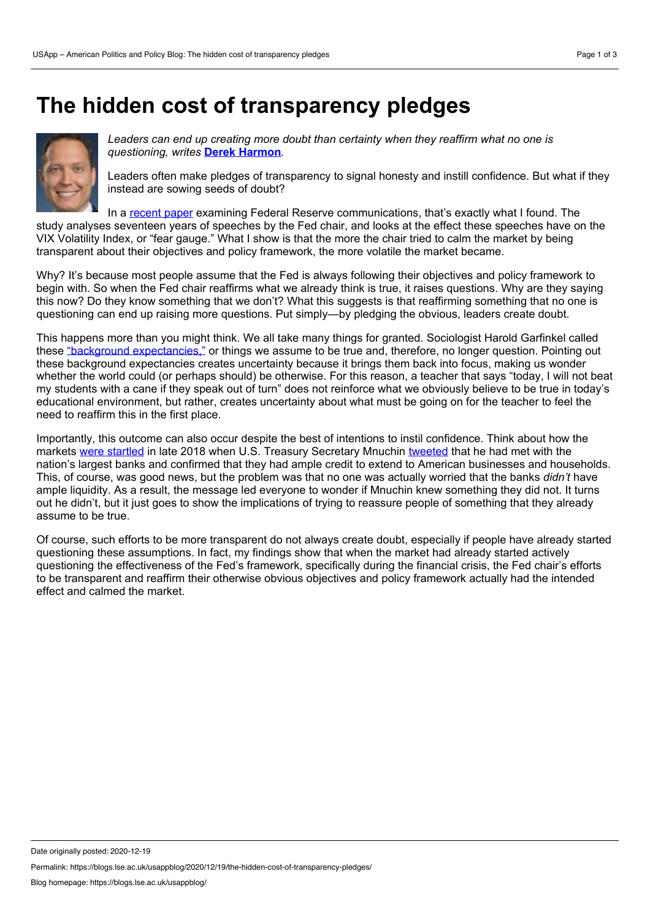## **The hidden cost of transparency pledges**



*Leaders can end up creating more doubt than certainty when they reaffirm what no one is questioning, writes* **Derek [Harmon](https://wp.me/p3I2YF-aBz#Author)***.*

Leaders often make pledges of transparency to signal honesty and instill confidence. But what if they instead are sowing seeds of doubt?

In a [recent](https://journals.sagepub.com/doi/full/10.1177/0001839218777475) paper examining Federal Reserve communications, that's exactly what I found. The study analyses seventeen years of speeches by the Fed chair, and looks at the effect these speeches have on the VIX Volatility Index, or "fear gauge." What I show is that the more the chair tried to calm the market by being transparent about their objectives and policy framework, the more volatile the market became.

Why? It's because most people assume that the Fed is always following their objectives and policy framework to begin with. So when the Fed chair reaffirms what we already think is true, it raises questions. Why are they saying this now? Do they know something that we don't? What this suggests is that reaffirming something that no one is questioning can end up raising more questions. Put simply—by pledging the obvious, leaders create doubt.

This happens more than you might think. We all take many things for granted. Sociologist Harold Garfinkel called these "background [expectancies,"](https://www.wiley.com/en-us/Studies+in+Ethnomethodology-p-9780745600055) or things we assume to be true and, therefore, no longer question. Pointing out these background expectancies creates uncertainty because it brings them back into focus, making us wonder whether the world could (or perhaps should) be otherwise. For this reason, a teacher that says "today, I will not beat my students with a cane if they speak out of turn" does not reinforce what we obviously believe to be true in today's educational environment, but rather, creates uncertainty about what must be going on for the teacher to feel the need to reaffirm this in the first place.

Importantly, this outcome can also occur despite the best of intentions to instil confidence. Think about how the markets were [startled](https://www.washingtonpost.com/business/2018/12/23/treasury-secretary-makes-unusual-pre-christmas-call-top-bank-ceos-amid-market-mayhem/) in late 2018 when U.S. Treasury Secretary Mnuchin [tweeted](https://twitter.com/stevenmnuchin1/status/1076958380361543681) that he had met with the nation's largest banks and confirmed that they had ample credit to extend to American businesses and households. This, of course, was good news, but the problem was that no one was actually worried that the banks *didn't* have ample liquidity. As a result, the message led everyone to wonder if Mnuchin knew something they did not. It turns out he didn't, but it just goes to show the implications of trying to reassure people of something that they already assume to be true.

Of course, such efforts to be more transparent do not always create doubt, especially if people have already started questioning these assumptions. In fact, my findings show that when the market had already started actively questioning the effectiveness of the Fed's framework, specifically during the financial crisis, the Fed chair's efforts to be transparent and reaffirm their otherwise obvious objectives and policy framework actually had the intended effect and calmed the market.

Permalink: https://blogs.lse.ac.uk/usappblog/2020/12/19/the-hidden-cost-of-transparency-pledges/

Date originally posted: 2020-12-19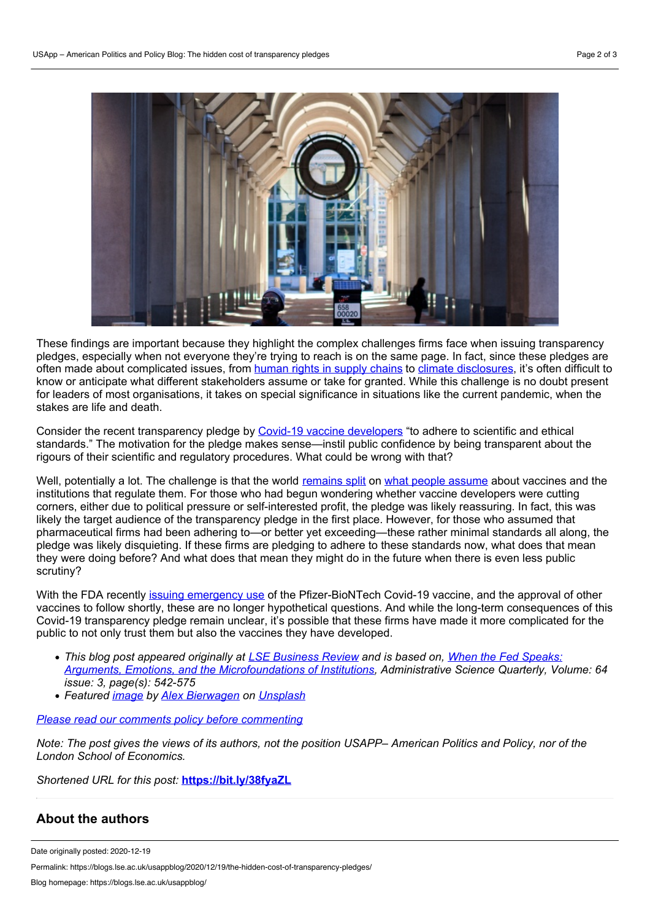

These findings are important because they highlight the complex challenges firms face when issuing transparency pledges, especially when not everyone they're trying to reach is on the same page. In fact, since these pledges are often made about complicated issues, from [human](https://transparencypledge.org/) rights in supply chains to climate [disclosures,](https://www.washingtonpost.com/technology/2020/12/09/amazon-climate-pledge-members/) it's often difficult to know or anticipate what different stakeholders assume or take for granted. While this challenge is no doubt present for leaders of most organisations, it takes on special significance in situations like the current pandemic, when the stakes are life and death.

Consider the recent transparency pledge by Covid-19 vaccine [developers](https://www.wsj.com/articles/covid-19-vaccine-developers-prepare-joint-pledge-on-safety-standards-11599257729) "to adhere to scientific and ethical standards." The motivation for the pledge makes sense—instil public confidence by being transparent about the rigours of their scientific and regulatory procedures. What could be wrong with that?

Well, potentially a lot. The challenge is that the world [remains](https://www.nature.com/articles/s41591-020-1124-9) split on what people [assume](https://www.wsj.com/articles/covid-19-vaccine-rollout-faces-public-concerns-over-safety-11607344315) about vaccines and the institutions that regulate them. For those who had begun wondering whether vaccine developers were cutting corners, either due to political pressure or self-interested profit, the pledge was likely reassuring. In fact, this was likely the target audience of the transparency pledge in the first place. However, for those who assumed that pharmaceutical firms had been adhering to—or better yet exceeding—these rather minimal standards all along, the pledge was likely disquieting. If these firms are pledging to adhere to these standards now, what does that mean they were doing before? And what does that mean they might do in the future when there is even less public scrutiny?

With the FDA recently issuing [emergency](https://www.fda.gov/news-events/press-announcements/fda-takes-key-action-fight-against-covid-19-issuing-emergency-use-authorization-first-covid-19) use of the Pfizer-BioNTech Covid-19 vaccine, and the approval of other vaccines to follow shortly, these are no longer hypothetical questions. And while the long-term consequences of this Covid-19 transparency pledge remain unclear, it's possible that these firms have made it more complicated for the public to not only trust them but also the vaccines they have developed.

- *This blog post appeared originally at LSE [Business](https://blogs.lse.ac.uk/businessreview/2020/12/11/lockdown-shows-us-it-is-not-work-that-attracts-us-to-big-cities-but-the-social-life/) Review and is based on, When the Fed Speaks: Arguments, Emotions, and the [Microfoundations](https://journals.sagepub.com/doi/full/10.1177/0001839218777475) of Institutions, Administrative Science Quarterly, Volume: 64 issue: 3, page(s): 542-575*
- *Featured [image](https://unsplash.com/photos/KvX3L_QXTgM) by Alex [Bierwagen](https://unsplash.com/@ajb?utm_source=unsplash&utm_medium=referral&utm_content=creditCopyText) on [Unsplash](https://unsplash.com/?utm_source=unsplash&utm_medium=referral&utm_content=creditCopyText)*

## *Please read our comments policy before [commenting](https://blogs.lse.ac.uk/usappblog/comments-policy/)*

Note: The post gives the views of its authors, not the position USAPP- American Politics and Policy, nor of the *London School of Economics.*

*Shortened URL for this post:* **<https://bit.ly/38fyaZL>**

## **About the authors**

Permalink: https://blogs.lse.ac.uk/usappblog/2020/12/19/the-hidden-cost-of-transparency-pledges/

Date originally posted: 2020-12-19